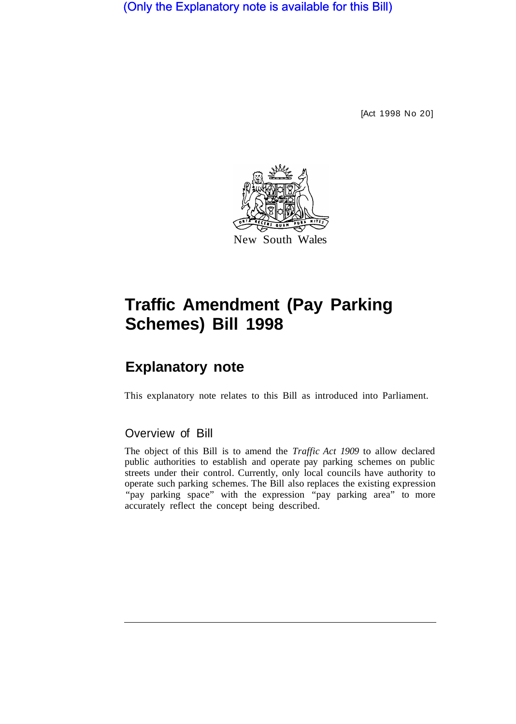(Only the Explanatory note is available for this Bill)

[Act 1998 No 20]



# **Traffic Amendment (Pay Parking Schemes) Bill 1998**

## **Explanatory note**

This explanatory note relates to this Bill as introduced into Parliament.

### Overview of Bill

The object of this Bill is to amend the *Traffic Act 1909* to allow declared public authorities to establish and operate pay parking schemes on public streets under their control. Currently, only local councils have authority to operate such parking schemes. The Bill also replaces the existing expression "pay parking space" with the expression "pay parking area" to more accurately reflect the concept being described.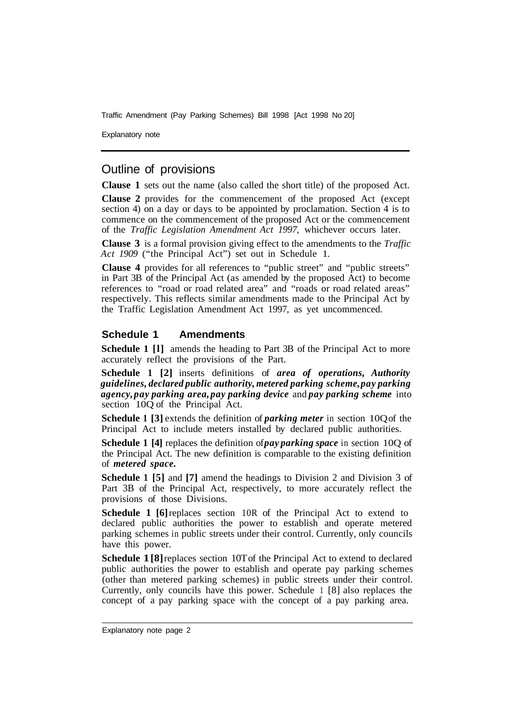Traffic Amendment (Pay Parking Schemes) Bill 1998 [Act 1998 No 20]

Explanatory note

### Outline of provisions

**Clause 1** sets out the name (also called the short title) of the proposed Act.

**Clause 2** provides for the commencement of the proposed Act (except section 4) on a day or days to be appointed by proclamation. Section 4 is to commence on the commencement of the proposed Act or the commencement of the *Traffic Legislation Amendment Act 1997,* whichever occurs later.

**Clause 3** is a formal provision giving effect to the amendments to the *Traffic Act 1909* ("the Principal Act") set out in Schedule 1.

**Clause 4** provides for all references to "public street" and "public streets" in Part 3B of the Principal Act (as amended by the proposed Act) to become references to "road or road related area" and "roads or road related areas" respectively. This reflects similar amendments made to the Principal Act by the Traffic Legislation Amendment Act 1997, as yet uncommenced.

#### **Schedule 1 Amendments**

**Schedule 1 [1]** amends the heading to Part 3B of the Principal Act to more accurately reflect the provisions of the Part.

**Schedule 1 [2]** inserts definitions of *area of operations, Authority guidelines, declared public authority, metered parking scheme, pay parking agency, pay parking area, pay parking device* and *pay parking scheme* into section 10Q of the Principal Act.

**Schedule 1 [3]** extends the definition of *parking meter* in section 10Q of the Principal Act to include meters installed by declared public authorities.

**Schedule 1 [4]** replaces the definition of *pay parking space* in section 10Q of the Principal Act. The new definition is comparable to the existing definition of *metered space.* 

**Schedule 1 [5]** and **[7]** amend the headings to Division 2 and Division 3 of Part 3B of the Principal Act, respectively, to more accurately reflect the provisions of those Divisions.

**Schedule 1 [6]**replaces section 10R of the Principal Act to extend to declared public authorities the power to establish and operate metered parking schemes in public streets under their control. Currently, only councils have this power.

**Schedule 1[8]** replaces section 10T of the Principal Act to extend to declared public authorities the power to establish and operate pay parking schemes (other than metered parking schemes) in public streets under their control. Currently, only councils have this power. Schedule 1 [8] also replaces the concept of a pay parking space with the concept of a pay parking area.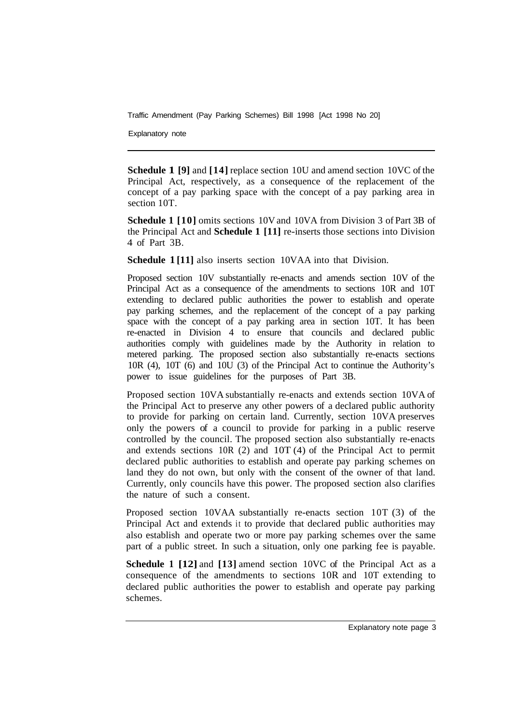Traffic Amendment (Pay Parking Schemes) Bill 1998 [Act 1998 No 20]

Explanatory note

**Schedule 1 [9]** and **[14]** replace section 10U and amend section 10VC of the Principal Act, respectively, as a consequence of the replacement of the concept of a pay parking space with the concept of a pay parking area in section 10T.

**Schedule 1 [10]** omits sections 10V and 10VA from Division 3 of Part 3B of the Principal Act and **Schedule 1 [11]** re-inserts those sections into Division 4 of Part 3B.

**Schedule 1 [11]** also inserts section 10VAA into that Division.

Proposed section 10V substantially re-enacts and amends section 10V of the Principal Act as a consequence of the amendments to sections 10R and 10T extending to declared public authorities the power to establish and operate pay parking schemes, and the replacement of the concept of a pay parking space with the concept of a pay parking area in section 10T. It has been re-enacted in Division 4 to ensure that councils and declared public authorities comply with guidelines made by the Authority in relation to metered parking. The proposed section also substantially re-enacts sections 10R (4), 10T (6) and 10U (3) of the Principal Act to continue the Authority's power to issue guidelines for the purposes of Part 3B.

Proposed section 10VA substantially re-enacts and extends section 10VA of the Principal Act to preserve any other powers of a declared public authority to provide for parking on certain land. Currently, section 10VA preserves only the powers of a council to provide for parking in a public reserve controlled by the council. The proposed section also substantially re-enacts and extends sections 10R (2) and 10T (4) of the Principal Act to permit declared public authorities to establish and operate pay parking schemes on land they do not own, but only with the consent of the owner of that land. Currently, only councils have this power. The proposed section also clarifies the nature of such a consent.

Proposed section 10VAA substantially re-enacts section 10T (3) of the Principal Act and extends it to provide that declared public authorities may also establish and operate two or more pay parking schemes over the same part of a public street. In such a situation, only one parking fee is payable.

**Schedule 1 [12]** and **[13]** amend section 10VC of the Principal Act as a consequence of the amendments to sections 10R and 10T extending to declared public authorities the power to establish and operate pay parking schemes.